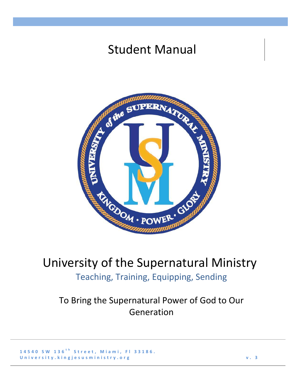## Student Manual



## University of the Supernatural Ministry Teaching, Training, Equipping, Sending

To Bring the Supernatural Power of God to Our Generation

**1 4 5 4 0 S W 1 3 6 t h S t r e e t , M i a m i , F l 3 3 1 8 6 .** U n i v e r s i t y . k i n g j e s u s m i n i s t r y . or g v . T w . a v . 3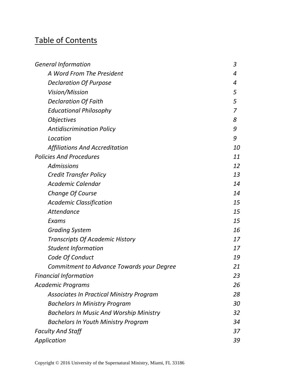## Table of Contents

| <b>General Information</b>                      | 3              |
|-------------------------------------------------|----------------|
| A Word From The President                       | 4              |
| <b>Declaration Of Purpose</b>                   | 4              |
| Vision/Mission                                  | 5              |
| <b>Declaration Of Faith</b>                     | 5              |
| <b>Educational Philosophy</b>                   | $\overline{7}$ |
| <b>Objectives</b>                               | 8              |
| <b>Antidiscrimination Policy</b>                | 9              |
| Location                                        | 9              |
| <b>Affiliations And Accreditation</b>           | <i>10</i>      |
| <b>Policies And Procedures</b>                  | 11             |
| <b>Admissions</b>                               | 12             |
| <b>Credit Transfer Policy</b>                   | 13             |
| Academic Calendar                               | 14             |
| Change Of Course                                | 14             |
| <b>Academic Classification</b>                  | 15             |
| Attendance                                      | 15             |
| Exams                                           | 15             |
| <b>Grading System</b>                           | 16             |
| <b>Transcripts Of Academic History</b>          | 17             |
| <b>Student Information</b>                      | 17             |
| Code Of Conduct                                 | 19             |
| Commitment to Advance Towards your Degree       | 21             |
| <b>Financial Information</b>                    | 23             |
| Academic Programs                               | 26             |
| <b>Associates In Practical Ministry Program</b> | 28             |
| <b>Bachelors In Ministry Program</b>            | 30             |
| <b>Bachelors In Music And Worship Ministry</b>  | 32             |
| <b>Bachelors In Youth Ministry Program</b>      | 34             |
| <b>Faculty And Staff</b>                        | 37             |
| Application                                     | 39             |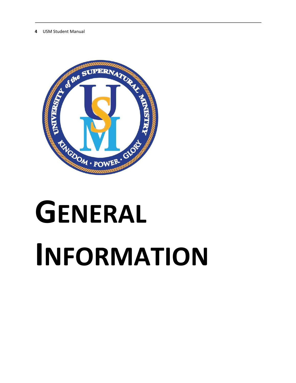

# **GENERAL INFORMATION**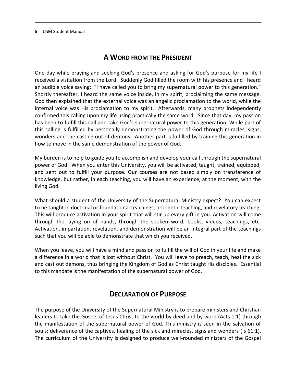## **A WORD FROM THE PRESIDENT**

One day while praying and seeking God's presence and asking for God's purpose for my life I received a visitation from the Lord. Suddenly God filled the room with his presence and I heard an audible voice saying: "I have called you to bring my supernatural power to this generation." Shortly thereafter, I heard the same voice inside, in my spirit, proclaiming the same message. God then explained that the external voice was an angelic proclamation to the world, while the internal voice was His proclamation to my spirit. Afterwards, many prophets independently confirmed this calling upon my life using practically the same word. Since that day, my passion has been to fulfill this call and take God's supernatural power to this generation. While part of this calling is fulfilled by personally demonstrating the power of God through miracles, signs, wonders and the casting out of demons. Another part is fulfilled by training this generation in how to move in the same demonstration of the power of God.

My burden is to help to guide you to accomplish and develop your call through the supernatural power of God. When you enter this University, you will be activated, taught, trained, equipped, and sent out to fulfill your purpose. Our courses are not based simply on transference of knowledge, but rather, in each teaching, you will have an experience, at the moment, with the living God.

What should a student of the University of the Supernatural Ministry expect? You can expect to be taught in doctrinal or foundational teachings, prophetic teaching, and revelatory teaching. This will produce activation in your spirit that will stir up every gift in you. Activation will come through the laying on of hands, through the spoken word, books, videos, teachings, etc. Activation, impartation, revelation, and demonstration will be an integral part of the teachings such that you will be able to demonstrate that which you received.

When you leave, you will have a mind and passion to fulfill the will of God in your life and make a difference in a world that is lost without Christ. You will leave to preach, teach, heal the sick and cast out demons, thus bringing the Kingdom of God as Christ taught His disciples. Essential to this mandate is the manifestation of the supernatural power of God.

## **DECLARATION OF PURPOSE**

The purpose of the University of the Supernatural Ministry is to prepare ministers and Christian leaders to take the Gospel of Jesus Christ to the world by deed and by word (Acts 1:1) through the manifestation of the supernatural power of God. This ministry is seen in the salvation of souls; deliverance of the captives, healing of the sick and miracles, signs and wonders (Is 61:1). The curriculum of the University is designed to produce well-rounded ministers of the Gospel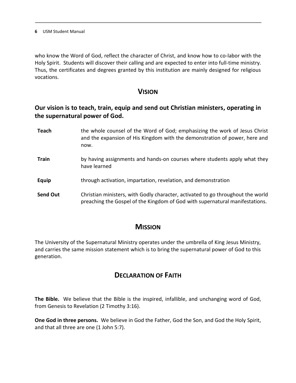who know the Word of God, reflect the character of Christ, and know how to co-labor with the Holy Spirit. Students will discover their calling and are expected to enter into full-time ministry. Thus, the certificates and degrees granted by this institution are mainly designed for religious vocations.

## **VISION**

## **Our vision is to teach, train, equip and send out Christian ministers, operating in the supernatural power of God.**

**Teach** the whole counsel of the Word of God; emphasizing the work of Jesus Christ and the expansion of His Kingdom with the demonstration of power, here and now. **Train** by having assignments and hands-on courses where students apply what they have learned **Equip** through activation, impartation, revelation, and demonstration **Send Out** Christian ministers, with Godly character, activated to go throughout the world preaching the Gospel of the Kingdom of God with supernatural manifestations.

## **MISSION**

The University of the Supernatural Ministry operates under the umbrella of King Jesus Ministry, and carries the same mission statement which is to bring the supernatural power of God to this generation.

## **DECLARATION OF FAITH**

**The Bible.** We believe that the Bible is the inspired, infallible, and unchanging word of God, from Genesis to Revelation (2 Timothy 3:16).

**One God in three persons.** We believe in God the Father, God the Son, and God the Holy Spirit, and that all three are one (1 John 5:7).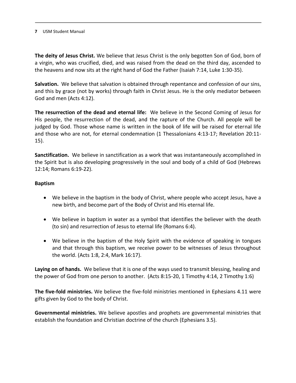**The deity of Jesus Christ.** We believe that Jesus Christ is the only begotten Son of God, born of a virgin, who was crucified, died, and was raised from the dead on the third day, ascended to the heavens and now sits at the right hand of God the Father (Isaiah 7:14, Luke 1:30-35).

**Salvation.** We believe that salvation is obtained through repentance and confession of our sins, and this by grace (not by works) through faith in Christ Jesus. He is the only mediator between God and men (Acts 4:12).

**The resurrection of the dead and eternal life:** We believe in the Second Coming of Jesus for His people, the resurrection of the dead, and the rapture of the Church. All people will be judged by God. Those whose name is written in the book of life will be raised for eternal life and those who are not, for eternal condemnation (1 Thessalonians 4:13-17; Revelation 20:11- 15).

**Sanctification.** We believe in sanctification as a work that was instantaneously accomplished in the Spirit but is also developing progressively in the soul and body of a child of God (Hebrews 12:14; Romans 6:19-22).

#### **Baptism**

- We believe in the baptism in the body of Christ, where people who accept Jesus, have a new birth, and become part of the Body of Christ and His eternal life.
- We believe in baptism in water as a symbol that identifies the believer with the death (to sin) and resurrection of Jesus to eternal life (Romans 6:4).
- We believe in the baptism of the Holy Spirit with the evidence of speaking in tongues and that through this baptism, we receive power to be witnesses of Jesus throughout the world. (Acts 1:8, 2:4, Mark 16:17).

**Laying on of hands.** We believe that it is one of the ways used to transmit blessing, healing and the power of God from one person to another. (Acts 8:15-20, 1 Timothy 4:14, 2 Timothy 1:6)

**The five-fold ministries.** We believe the five-fold ministries mentioned in Ephesians 4.11 were gifts given by God to the body of Christ.

**Governmental ministries.** We believe apostles and prophets are governmental ministries that establish the foundation and Christian doctrine of the church (Ephesians 3.5).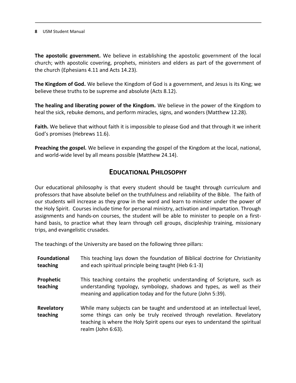**The apostolic government.** We believe in establishing the apostolic government of the local church; with apostolic covering, prophets, ministers and elders as part of the government of the church (Ephesians 4.11 and Acts 14.23).

**The Kingdom of God.** We believe the Kingdom of God is a government, and Jesus is its King; we believe these truths to be supreme and absolute (Acts 8.12).

**The healing and liberating power of the Kingdom.** We believe in the power of the Kingdom to heal the sick, rebuke demons, and perform miracles, signs, and wonders (Matthew 12.28).

**Faith.** We believe that without faith it is impossible to please God and that through it we inherit God's promises (Hebrews 11.6).

**Preaching the gospel.** We believe in expanding the gospel of the Kingdom at the local, national, and world-wide level by all means possible (Matthew 24.14).

## **EDUCATIONAL PHILOSOPHY**

Our educational philosophy is that every student should be taught through curriculum and professors that have absolute belief on the truthfulness and reliability of the Bible. The faith of our students will increase as they grow in the word and learn to minister under the power of the Holy Spirit. Courses include time for personal ministry, activation and impartation. Through assignments and hands-on courses, the student will be able to minister to people on a firsthand basis, to practice what they learn through cell groups, discipleship training, missionary trips, and evangelistic crusades.

The teachings of the University are based on the following three pillars:

| <b>Foundational</b><br>teaching | This teaching lays down the foundation of Biblical doctrine for Christianity<br>and each spiritual principle being taught (Heb 6:1-3)                                                                                                                     |
|---------------------------------|-----------------------------------------------------------------------------------------------------------------------------------------------------------------------------------------------------------------------------------------------------------|
| Prophetic<br>teaching           | This teaching contains the prophetic understanding of Scripture, such as<br>understanding typology, symbology, shadows and types, as well as their<br>meaning and application today and for the future (John 5:39).                                       |
| Revelatory<br>teaching          | While many subjects can be taught and understood at an intellectual level,<br>some things can only be truly received through revelation. Revelatory<br>teaching is where the Holy Spirit opens our eyes to understand the spiritual<br>realm (John 6:63). |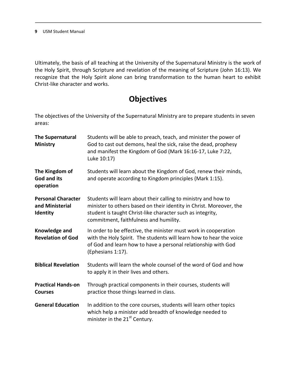Ultimately, the basis of all teaching at the University of the Supernatural Ministry is the work of the Holy Spirit, through Scripture and revelation of the meaning of Scripture (John 16:13). We recognize that the Holy Spirit alone can bring transformation to the human heart to exhibit Christ-like character and works.

## **Objectives**

The objectives of the University of the Supernatural Ministry are to prepare students in seven areas:

| <b>The Supernatural</b><br>Ministry                      | Students will be able to preach, teach, and minister the power of<br>God to cast out demons, heal the sick, raise the dead, prophesy<br>and manifest the Kingdom of God (Mark 16:16-17, Luke 7:22,<br>Luke 10:17)                             |
|----------------------------------------------------------|-----------------------------------------------------------------------------------------------------------------------------------------------------------------------------------------------------------------------------------------------|
| The Kingdom of<br>God and its<br>operation               | Students will learn about the Kingdom of God, renew their minds,<br>and operate according to Kingdom principles (Mark 1:15).                                                                                                                  |
| <b>Personal Character</b><br>and Ministerial<br>Identity | Students will learn about their calling to ministry and how to<br>minister to others based on their identity in Christ. Moreover, the<br>student is taught Christ-like character such as integrity,<br>commitment, faithfulness and humility. |
| Knowledge and<br><b>Revelation of God</b>                | In order to be effective, the minister must work in cooperation<br>with the Holy Spirit. The students will learn how to hear the voice<br>of God and learn how to have a personal relationship with God<br>(Ephesians 1:17).                  |
| <b>Biblical Revelation</b>                               | Students will learn the whole counsel of the word of God and how<br>to apply it in their lives and others.                                                                                                                                    |
| <b>Practical Hands-on</b><br><b>Courses</b>              | Through practical components in their courses, students will<br>practice those things learned in class.                                                                                                                                       |
| <b>General Education</b>                                 | In addition to the core courses, students will learn other topics<br>which help a minister add breadth of knowledge needed to<br>minister in the 21 <sup>st</sup> Century.                                                                    |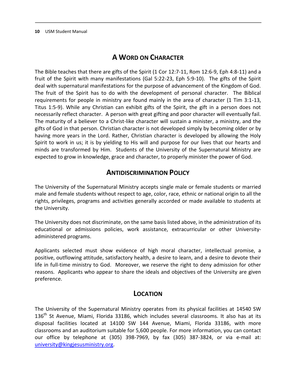## **A WORD ON CHARACTER**

The Bible teaches that there are gifts of the Spirit (1 Cor 12:7-11, Rom 12:6-9, Eph 4:8-11) and a fruit of the Spirit with many manifestations (Gal 5:22-23, Eph 5:9-10). The gifts of the Spirit deal with supernatural manifestations for the purpose of advancement of the Kingdom of God. The fruit of the Spirit has to do with the development of personal character. The Biblical requirements for people in ministry are found mainly in the area of character (1 Tim 3:1-13, Titus 1:5-9). While any Christian can exhibit gifts of the Spirit, the gift in a person does not necessarily reflect character. A person with great gifting and poor character will eventually fail. The maturity of a believer to a Christ-like character will sustain a minister, a ministry, and the gifts of God in that person. Christian character is not developed simply by becoming older or by having more years in the Lord. Rather, Christian character is developed by allowing the Holy Spirit to work in us; it is by yielding to His will and purpose for our lives that our hearts and minds are transformed by Him. Students of the University of the Supernatural Ministry are expected to grow in knowledge, grace and character, to properly minister the power of God.

## **ANTIDISCRIMINATION POLICY**

The University of the Supernatural Ministry accepts single male or female students or married male and female students without respect to age, color, race, ethnic or national origin to all the rights, privileges, programs and activities generally accorded or made available to students at the University.

The University does not discriminate, on the same basis listed above, in the administration of its educational or admissions policies, work assistance, extracurricular or other Universityadministered programs.

Applicants selected must show evidence of high moral character, intellectual promise, a positive, outflowing attitude, satisfactory health, a desire to learn, and a desire to devote their life in full-time ministry to God. Moreover, we reserve the right to deny admission for other reasons. Applicants who appear to share the ideals and objectives of the University are given preference.

## **LOCATION**

The University of the Supernatural Ministry operates from its physical facilities at 14540 SW 136<sup>th</sup> St Avenue, Miami, Florida 33186, which includes several classrooms. It also has at its disposal facilities located at 14100 SW 144 Avenue, Miami, Florida 33186, with more classrooms and an auditorium suitable for 5,600 people. For more information, you can contact our office by telephone at (305) 398-7969, by fax (305) 387-3824, or via e-mail at: [university@kingjesusministry.org.](mailto:university@kingjesusministry.org)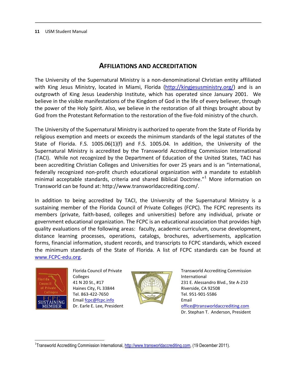## **AFFILIATIONS AND ACCREDITATION**

The University of the Supernatural Ministry is a non-denominational Christian entity affiliated with King Jesus Ministry, located in Miami, Florida [\(http://kingjesusministry.org/\)](http://kingjesusministry.org/) and is an outgrowth of King Jesus Leadership Institute, which has operated since January 2001. We believe in the visible manifestations of the Kingdom of God in the life of every believer, through the power of the Holy Spirit. Also, we believe in the restoration of all things brought about by God from the Protestant Reformation to the restoration of the five-fold ministry of the church.

The University of the Supernatural Ministry is authorized to operate from the State of Florida by religious exemption and meets or exceeds the minimum standards of the legal statutes of the State of Florida. F.S. 1005.06(1)(f) and F.S. 1005.04. In addition, the University of the Supernatural Ministry is accredited by the Transworld Accrediting Commission International (TACI). While not recognized by the Department of Education of the United States, TACI has been accrediting Christian Colleges and Universities for over 25 years and is an "international, federally recognized non-profit church educational organization with a mandate to establish minimal acceptable standards, criteria and shared Biblical Doctrine."<sup>1</sup> More information on Transworld can be found at: http://www.transworldaccrediting.com/.

In addition to being accredited by TACI, the University of the Supernatural Ministry is a sustaining member of the Florida Council of Private Colleges (FCPC). The FCPC represents its members (private, faith-based, colleges and universities) before any individual, private or government educational organization. The FCPC is an educational association that provides high quality evaluations of the following areas: faculty, academic curriculum, course development, distance learning processes, operations, catalogs, brochures, advertisements, application forms, financial information, student records, and transcripts to FCPC standards, which exceed the minimum standards of the State of Florida. A list of FCPC standards can be found at [www.FCPC-edu.org.](http://www.fcpc-edu.org/)



Florida Council of Private Colleges 41 N 20 St., #17 Haines City, FL 33844 Tel. 863-422-7650 Emai[l fcpc@fcpc.info](mailto:fcpc@fcpc.info) Dr. Earle E. Lee, President



Transworld Accrediting Commission International 231 E. Alessandro Blvd., Ste A-210 Riverside, CA 92508 Tel. 951-901-5586 Email [office@transworldaccrediting.com](mailto:office@transworldaccrediting.com) Dr. Stephan T. Anderson, President

l <sup>1</sup>Transworld Accrediting Commission International, [http://www.transworldaccrediting.com,](http://www.transworldaccrediting.com/) (19 December 2011).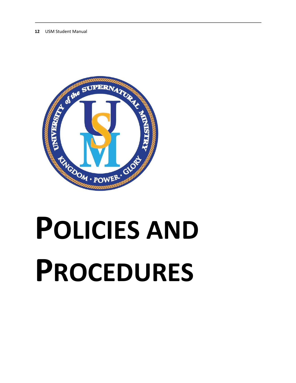

## **POLICIES AND PROCEDURES**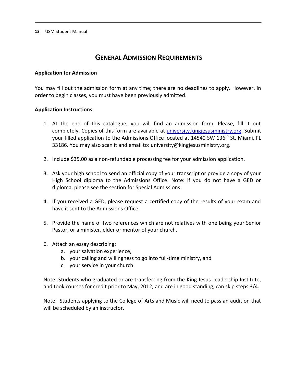## **GENERAL ADMISSION REQUIREMENTS**

#### **Application for Admission**

You may fill out the admission form at any time; there are no deadlines to apply. However, in order to begin classes, you must have been previously admitted.

#### **Application Instructions**

- 1. At the end of this catalogue, you will find an admission form. Please, fill it out completely. Copies of this form are available at [university.kingjesusministry.org.](http://www.university.kingjesusministry.org/) Submit your filled application to the Admissions Office located at 14540 SW 136<sup>th</sup> St. Miami. FL 33186. You may also scan it and email to: university@kingjesusministry.org.
- 2. Include \$35.00 as a non-refundable processing fee for your admission application.
- 3. Ask your high school to send an official copy of your transcript or provide a copy of your High School diploma to the Admissions Office. Note: if you do not have a GED or diploma, please see the section for Special Admissions.
- 4. If you received a GED, please request a certified copy of the results of your exam and have it sent to the Admissions Office.
- 5. Provide the name of two references which are not relatives with one being your Senior Pastor, or a minister, elder or mentor of your church.
- 6. Attach an essay describing:
	- a. your salvation experience,
	- b. your calling and willingness to go into full-time ministry, and
	- c. your service in your church.

Note: Students who graduated or are transferring from the King Jesus Leadership Institute, and took courses for credit prior to May, 2012, and are in good standing, can skip steps 3/4.

Note: Students applying to the College of Arts and Music will need to pass an audition that will be scheduled by an instructor.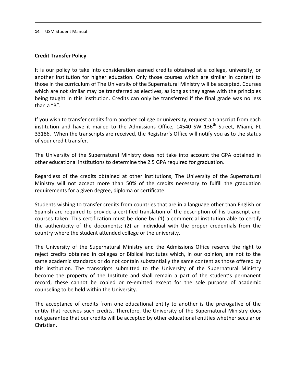#### **Credit Transfer Policy**

It is our policy to take into consideration earned credits obtained at a college, university, or another institution for higher education. Only those courses which are similar in content to those in the curriculum of The University of the Supernatural Ministry will be accepted. Courses which are not similar may be transferred as electives, as long as they agree with the principles being taught in this institution. Credits can only be transferred if the final grade was no less than a "B".

If you wish to transfer credits from another college or university, request a transcript from each institution and have it mailed to the Admissions Office, 14540 SW 136<sup>th</sup> Street, Miami, FL 33186. When the transcripts are received, the Registrar's Office will notify you as to the status of your credit transfer.

The University of the Supernatural Ministry does not take into account the GPA obtained in other educational institutions to determine the 2.5 GPA required for graduation.

Regardless of the credits obtained at other institutions, The University of the Supernatural Ministry will not accept more than 50% of the credits necessary to fulfill the graduation requirements for a given degree, diploma or certificate.

Students wishing to transfer credits from countries that are in a language other than English or Spanish are required to provide a certified translation of the description of his transcript and courses taken. This certification must be done by: (1) a commercial institution able to certify the authenticity of the documents; (2) an individual with the proper credentials from the country where the student attended college or the university.

The University of the Supernatural Ministry and the Admissions Office reserve the right to reject credits obtained in colleges or Biblical Institutes which, in our opinion, are not to the same academic standards or do not contain substantially the same content as those offered by this institution. The transcripts submitted to the University of the Supernatural Ministry become the property of the Institute and shall remain a part of the student's permanent record; these cannot be copied or re-emitted except for the sole purpose of academic counseling to be held within the University.

The acceptance of credits from one educational entity to another is the prerogative of the entity that receives such credits. Therefore, the University of the Supernatural Ministry does not guarantee that our credits will be accepted by other educational entities whether secular or Christian.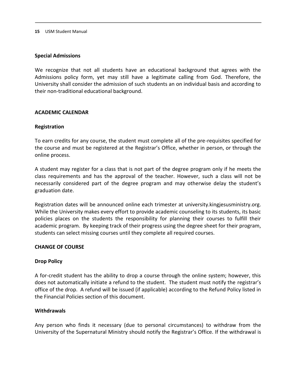#### **Special Admissions**

We recognize that not all students have an educational background that agrees with the Admissions policy form, yet may still have a legitimate calling from God. Therefore, the University shall consider the admission of such students an on individual basis and according to their non-traditional educational background.

#### **ACADEMIC CALENDAR**

#### **Registration**

To earn credits for any course, the student must complete all of the pre-requisites specified for the course and must be registered at the Registrar's Office, whether in person, or through the online process.

A student may register for a class that is not part of the degree program only if he meets the class requirements and has the approval of the teacher. However, such a class will not be necessarily considered part of the degree program and may otherwise delay the student's graduation date.

Registration dates will be announced online each trimester at university.kingjesusministry.org. While the University makes every effort to provide academic counseling to its students, its basic policies places on the students the responsibility for planning their courses to fulfill their academic program. By keeping track of their progress using the degree sheet for their program, students can select missing courses until they complete all required courses.

#### **CHANGE OF COURSE**

#### **Drop Policy**

A for-credit student has the ability to drop a course through the online system; however, this does not automatically initiate a refund to the student. The student must notify the registrar's office of the drop. A refund will be issued (if applicable) according to the Refund Policy listed in the Financial Policies section of this document.

#### **Withdrawals**

Any person who finds it necessary (due to personal circumstances) to withdraw from the University of the Supernatural Ministry should notify the Registrar's Office. If the withdrawal is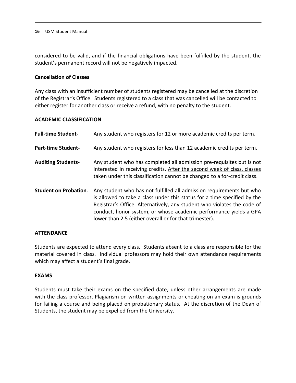considered to be valid, and if the financial obligations have been fulfilled by the student, the student's permanent record will not be negatively impacted.

#### **Cancellation of Classes**

Any class with an insufficient number of students registered may be cancelled at the discretion of the Registrar's Office. Students registered to a class that was cancelled will be contacted to either register for another class or receive a refund, with no penalty to the student.

#### **ACADEMIC CLASSIFICATION**

| <b>Full-time Student-</b>    | Any student who registers for 12 or more academic credits per term.                                                                                                                                                                                                                                                                                        |
|------------------------------|------------------------------------------------------------------------------------------------------------------------------------------------------------------------------------------------------------------------------------------------------------------------------------------------------------------------------------------------------------|
| <b>Part-time Student-</b>    | Any student who registers for less than 12 academic credits per term.                                                                                                                                                                                                                                                                                      |
| <b>Auditing Students-</b>    | Any student who has completed all admission pre-requisites but is not<br>interested in receiving credits. After the second week of class, classes<br>taken under this classification cannot be changed to a for-credit class.                                                                                                                              |
| <b>Student on Probation-</b> | Any student who has not fulfilled all admission requirements but who<br>is allowed to take a class under this status for a time specified by the<br>Registrar's Office. Alternatively, any student who violates the code of<br>conduct, honor system, or whose academic performance yields a GPA<br>lower than 2.5 (either overall or for that trimester). |

#### **ATTENDANCE**

Students are expected to attend every class. Students absent to a class are responsible for the material covered in class. Individual professors may hold their own attendance requirements which may affect a student's final grade.

#### **EXAMS**

Students must take their exams on the specified date, unless other arrangements are made with the class professor. Plagiarism on written assignments or cheating on an exam is grounds for failing a course and being placed on probationary status. At the discretion of the Dean of Students, the student may be expelled from the University.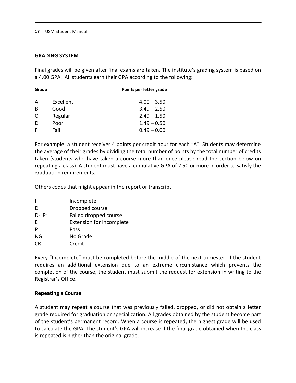#### **GRADING SYSTEM**

Final grades will be given after final exams are taken. The institute's grading system is based on a 4.00 GPA. All students earn their GPA according to the following:

| Grade |           | Points per letter grade |
|-------|-----------|-------------------------|
| A     | Excellent | $4.00 - 3.50$           |
| B     | Good      | $3.49 - 2.50$           |
| C     | Regular   | $2.49 - 1.50$           |
| D     | Poor      | $1.49 - 0.50$           |
| F     | Fail      | $0.49 - 0.00$           |

For example: a student receives 4 points per credit hour for each "A". Students may determine the average of their grades by dividing the total number of points by the total number of credits taken (students who have taken a course more than once please read the section below on repeating a class). A student must have a cumulative GPA of 2.50 or more in order to satisfy the graduation requirements.

Others codes that might appear in the report or transcript:

| Incomplete                      |
|---------------------------------|
| Dropped course                  |
| Failed dropped course           |
| <b>Extension for Incomplete</b> |
| Pass                            |
| No Grade                        |
| Credit                          |
|                                 |

Every "Incomplete" must be completed before the middle of the next trimester. If the student requires an additional extension due to an extreme circumstance which prevents the completion of the course, the student must submit the request for extension in writing to the Registrar's Office.

#### **Repeating a Course**

A student may repeat a course that was previously failed, dropped, or did not obtain a letter grade required for graduation or specialization. All grades obtained by the student become part of the student's permanent record. When a course is repeated, the highest grade will be used to calculate the GPA. The student's GPA will increase if the final grade obtained when the class is repeated is higher than the original grade.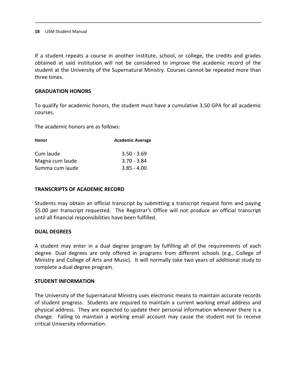If a student repeats a course in another institute, school, or college, the credits and grades obtained at said institution will not be considered to improve the academic record of the student at the University of the Supernatural Ministry. Courses cannot be repeated more than three times.

#### **GRADUATION HONORS**

To qualify for academic honors, the student must have a cumulative 3.50 GPA for all academic courses.

The academic honors are as follows:

| Honor           | <b>Academic Average</b> |  |
|-----------------|-------------------------|--|
| Cum laude       | $3.50 - 3.69$           |  |
| Magna cum laude | $3.70 - 3.84$           |  |
| Summa cum laude | $3.85 - 4.00$           |  |

#### **TRANSCRIPTS OF ACADEMIC RECORD**

Students may obtain an official transcript by submitting a transcript request form and paying \$5.00 per transcript requested. The Registrar's Office will not produce an official transcript until all financial responsibilities have been fulfilled.

#### **DUAL DEGREES**

A student may enter in a dual degree program by fulfilling all of the requirements of each degree. Dual degrees are only offered in programs from different schools (e.g., College of Ministry and College of Arts and Music). It will normally take two years of additional study to complete a dual degree program.

#### **STUDENT INFORMATION**

The University of the Supernatural Ministry uses electronic means to maintain accurate records of student progress. Students are required to maintain a current working email address and physical address. They are expected to update their personal information whenever there is a change. Failing to maintain a working email account may cause the student not to receive critical University information.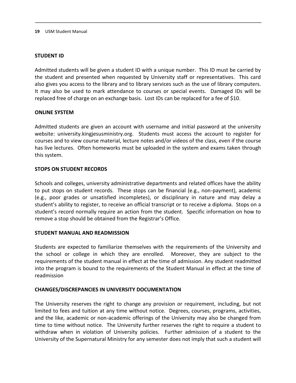#### **STUDENT ID**

Admitted students will be given a student ID with a unique number. This ID must be carried by the student and presented when requested by University staff or representatives. This card also gives you access to the library and to library services such as the use of library computers. It may also be used to mark attendance to courses or special events. Damaged IDs will be replaced free of charge on an exchange basis. Lost IDs can be replaced for a fee of \$10.

#### **ONLINE SYSTEM**

Admitted students are given an account with username and initial password at the university website: university.kingjesusministry.org. Students must access the account to register for courses and to view course material, lecture notes and/or videos of the class, even if the course has live lectures. Often homeworks must be uploaded in the system and exams taken through this system.

#### **STOPS ON STUDENT RECORDS**

Schools and colleges, university administrative departments and related offices have the ability to put stops on student records. These stops can be financial (e.g., non-payment), academic (e.g., poor grades or unsatisfied incompletes), or disciplinary in nature and may delay a student's ability to register, to receive an official transcript or to receive a diploma. Stops on a student's record normally require an action from the student. Specific information on how to remove a stop should be obtained from the Registrar's Office.

#### **STUDENT MANUAL AND READMISSION**

Students are expected to familiarize themselves with the requirements of the University and the school or college in which they are enrolled. Moreover, they are subject to the requirements of the student manual in effect at the time of admission. Any student readmitted into the program is bound to the requirements of the Student Manual in effect at the time of readmission

#### **CHANGES/DISCREPANCIES IN UNIVERSITY DOCUMENTATION**

The University reserves the right to change any provision or requirement, including, but not limited to fees and tuition at any time without notice. Degrees, courses, programs, activities, and the like, academic or non-academic offerings of the University may also be changed from time to time without notice. The University further reserves the right to require a student to withdraw when in violation of University policies. Further admission of a student to the University of the Supernatural Ministry for any semester does not imply that such a student will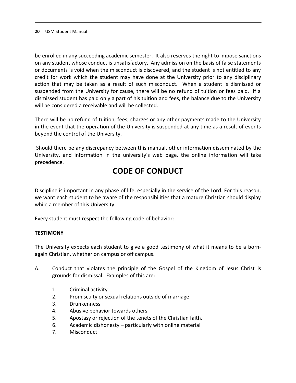be enrolled in any succeeding academic semester. It also reserves the right to impose sanctions on any student whose conduct is unsatisfactory. Any admission on the basis of false statements or documents is void when the misconduct is discovered, and the student is not entitled to any credit for work which the student may have done at the University prior to any disciplinary action that may be taken as a result of such misconduct. When a student is dismissed or suspended from the University for cause, there will be no refund of tuition or fees paid. If a dismissed student has paid only a part of his tuition and fees, the balance due to the University will be considered a receivable and will be collected.

There will be no refund of tuition, fees, charges or any other payments made to the University in the event that the operation of the University is suspended at any time as a result of events beyond the control of the University.

Should there be any discrepancy between this manual, other information disseminated by the University, and information in the university's web page, the online information will take precedence.

## **CODE OF CONDUCT**

Discipline is important in any phase of life, especially in the service of the Lord. For this reason, we want each student to be aware of the responsibilities that a mature Christian should display while a member of this University.

Every student must respect the following code of behavior:

#### **TESTIMONY**

The University expects each student to give a good testimony of what it means to be a bornagain Christian, whether on campus or off campus.

- A. Conduct that violates the principle of the Gospel of the Kingdom of Jesus Christ is grounds for dismissal. Examples of this are:
	- 1. Criminal activity
	- 2. Promiscuity or sexual relations outside of marriage
	- 3. Drunkenness
	- 4. Abusive behavior towards others
	- 5. Apostasy or rejection of the tenets of the Christian faith.
	- 6. Academic dishonesty particularly with online material
	- 7. Misconduct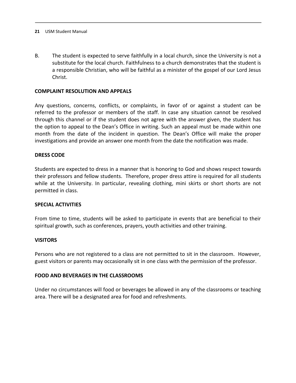B. The student is expected to serve faithfully in a local church, since the University is not a substitute for the local church. Faithfulness to a church demonstrates that the student is a responsible Christian, who will be faithful as a minister of the gospel of our Lord Jesus Christ.

#### **COMPLAINT RESOLUTION AND APPEALS**

Any questions, concerns, conflicts, or complaints, in favor of or against a student can be referred to the professor or members of the staff. In case any situation cannot be resolved through this channel or if the student does not agree with the answer given, the student has the option to appeal to the Dean's Office in writing. Such an appeal must be made within one month from the date of the incident in question. The Dean's Office will make the proper investigations and provide an answer one month from the date the notification was made.

#### **DRESS CODE**

Students are expected to dress in a manner that is honoring to God and shows respect towards their professors and fellow students. Therefore, proper dress attire is required for all students while at the University. In particular, revealing clothing, mini skirts or short shorts are not permitted in class.

#### **SPECIAL ACTIVITIES**

From time to time, students will be asked to participate in events that are beneficial to their spiritual growth, such as conferences, prayers, youth activities and other training.

#### **VISITORS**

Persons who are not registered to a class are not permitted to sit in the classroom. However, guest visitors or parents may occasionally sit in one class with the permission of the professor.

#### **FOOD AND BEVERAGES IN THE CLASSROOMS**

Under no circumstances will food or beverages be allowed in any of the classrooms or teaching area. There will be a designated area for food and refreshments.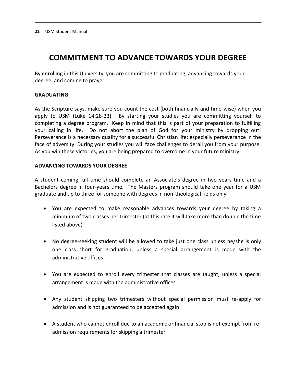## **COMMITMENT TO ADVANCE TOWARDS YOUR DEGREE**

By enrolling in this University, you are committing to graduating, advancing towards your degree, and coming to prayer.

#### **GRADUATING**

As the Scripture says, make sure you count the cost (both financially and time-wise) when you apply to USM (Luke 14:28-33). By starting your studies you are committing yourself to completing a degree program. Keep in mind that this is part of your preparation to fulfilling your calling in life. Do not abort the plan of God for your ministry by dropping out! Perseverance is a necessary quality for a successful Christian life; especially perseverance in the face of adversity. During your studies you will face challenges to derail you from your purpose. As you win these victories, you are being prepared to overcome in your future ministry.

#### **ADVANCING TOWARDS YOUR DEGREE**

A student coming full time should complete an Associate's degree in two years time and a Bachelors degree in four-years time. The Masters program should take one year for a USM graduate and up to three for someone with degrees in non-theological fields only.

- You are expected to make reasonable advances towards your degree by taking a minimum of two classes per trimester (at this rate it will take more than double the time listed above)
- No degree-seeking student will be allowed to take just one class unless he/she is only one class short for graduation, unless a special arrangement is made with the administrative offices
- You are expected to enroll every trimester that classes are taught, unless a special arrangement is made with the administrative offices
- Any student skipping two trimesters without special permission must re-apply for admission and is not guaranteed to be accepted again
- A student who cannot enroll due to an academic or financial stop is not exempt from readmission requirements for skipping a trimester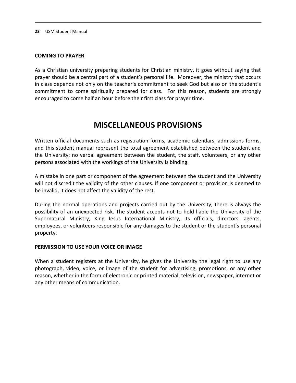#### **COMING TO PRAYER**

As a Christian university preparing students for Christian ministry, it goes without saying that prayer should be a central part of a student's personal life. Moreover, the ministry that occurs in class depends not only on the teacher's commitment to seek God but also on the student's commitment to come spiritually prepared for class. For this reason, students are strongly encouraged to come half an hour before their first class for prayer time.

## **MISCELLANEOUS PROVISIONS**

Written official documents such as registration forms, academic calendars, admissions forms, and this student manual represent the total agreement established between the student and the University; no verbal agreement between the student, the staff, volunteers, or any other persons associated with the workings of the University is binding.

A mistake in one part or component of the agreement between the student and the University will not discredit the validity of the other clauses. If one component or provision is deemed to be invalid, it does not affect the validity of the rest.

During the normal operations and projects carried out by the University, there is always the possibility of an unexpected risk. The student accepts not to hold liable the University of the Supernatural Ministry, King Jesus International Ministry, its officials, directors, agents, employees, or volunteers responsible for any damages to the student or the student's personal property.

#### **PERMISSION TO USE YOUR VOICE OR IMAGE**

When a student registers at the University, he gives the University the legal right to use any photograph, video, voice, or image of the student for advertising, promotions, or any other reason, whether in the form of electronic or printed material, television, newspaper, internet or any other means of communication.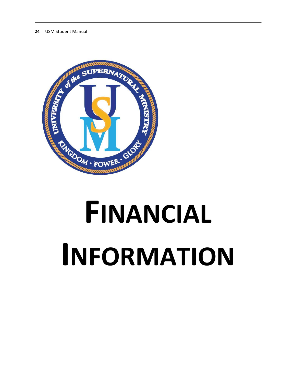

# **FINANCIAL INFORMATION**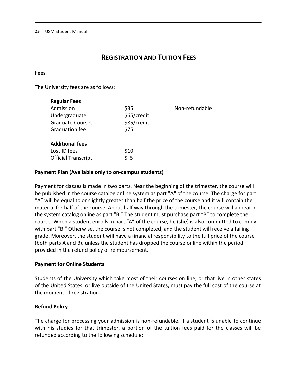## **REGISTRATION AND TUITION FEES**

#### **Fees**

The University fees are as follows:

| <b>Regular Fees</b>        |             |                |
|----------------------------|-------------|----------------|
| Admission                  | \$35        | Non-refundable |
| Undergraduate              | \$65/credit |                |
| <b>Graduate Courses</b>    | \$85/credit |                |
| <b>Graduation fee</b>      | \$75        |                |
| <b>Additional fees</b>     |             |                |
| Lost ID fees               | \$10        |                |
| <b>Official Transcript</b> | 55          |                |
|                            |             |                |

#### **Payment Plan (Available only to on-campus students)**

Payment for classes is made in two parts. Near the beginning of the trimester, the course will be published in the course catalog online system as part "A" of the course. The charge for part "A" will be equal to or slightly greater than half the price of the course and it will contain the material for half of the course. About half way through the trimester, the course will appear in the system catalog online as part "B." The student must purchase part "B" to complete the course. When a student enrolls in part "A" of the course, he (she) is also committed to comply with part "B." Otherwise, the course is not completed, and the student will receive a failing grade. Moreover, the student will have a financial responsibility to the full price of the course (both parts A and B), unless the student has dropped the course online within the period provided in the refund policy of reimbursement.

#### **Payment for Online Students**

Students of the University which take most of their courses on line, or that live in other states of the United States, or live outside of the United States, must pay the full cost of the course at the moment of registration.

#### **Refund Policy**

The charge for processing your admission is non-refundable. If a student is unable to continue with his studies for that trimester, a portion of the tuition fees paid for the classes will be refunded according to the following schedule: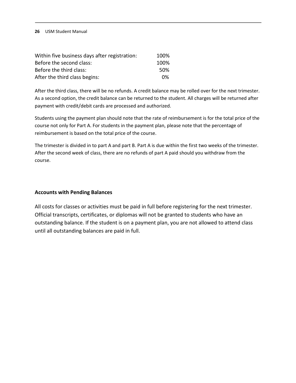| Within five business days after registration: | 100% |
|-----------------------------------------------|------|
| Before the second class:                      | 100% |
| Before the third class:                       | .50% |
| After the third class begins:                 | በ%   |

After the third class, there will be no refunds. A credit balance may be rolled over for the next trimester. As a second option, the credit balance can be returned to the student. All charges will be returned after payment with credit/debit cards are processed and authorized.

Students using the payment plan should note that the rate of reimbursement is for the total price of the course not only for Part A. For students in the payment plan, please note that the percentage of reimbursement is based on the total price of the course.

The trimester is divided in to part A and part B. Part A is due within the first two weeks of the trimester. After the second week of class, there are no refunds of part A paid should you withdraw from the course.

#### **Accounts with Pending Balances**

All costs for classes or activities must be paid in full before registering for the next trimester. Official transcripts, certificates, or diplomas will not be granted to students who have an outstanding balance. If the student is on a payment plan, you are not allowed to attend class until all outstanding balances are paid in full.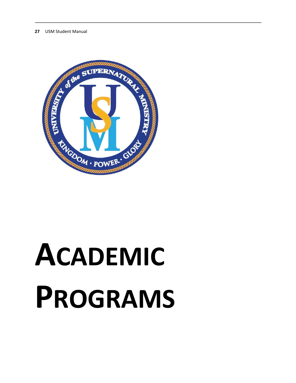

# **ACADEMIC PROGRAMS**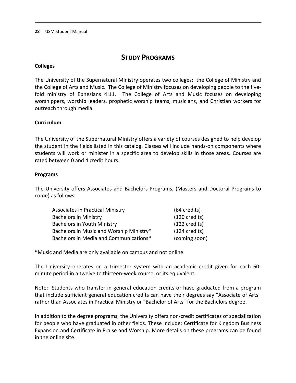## **STUDY PROGRAMS**

#### **Colleges**

The University of the Supernatural Ministry operates two colleges: the College of Ministry and the College of Arts and Music. The College of Ministry focuses on developing people to the fivefold ministry of Ephesians 4:11. The College of Arts and Music focuses on developing worshippers, worship leaders, prophetic worship teams, musicians, and Christian workers for outreach through media.

#### **Curriculum**

The University of the Supernatural Ministry offers a variety of courses designed to help develop the student in the fields listed in this catalog. Classes will include hands-on components where students will work or minister in a specific area to develop skills in those areas. Courses are rated between 0 and 4 credit hours.

#### **Programs**

The University offers Associates and Bachelors Programs, (Masters and Doctoral Programs to come) as follows:

| <b>Associates in Practical Ministry</b>  | (64 credits)            |
|------------------------------------------|-------------------------|
| <b>Bachelors in Ministry</b>             | $(120 \text{ credits})$ |
| <b>Bachelors in Youth Ministry</b>       | (122 credits)           |
| Bachelors in Music and Worship Ministry* | $(124 \text{ credits})$ |
| Bachelors in Media and Communications*   | (coming soon)           |

\*Music and Media are only available on campus and not online.

The University operates on a trimester system with an academic credit given for each 60 minute period in a twelve to thirteen-week course, or its equivalent.

Note: Students who transfer-in general education credits or have graduated from a program that include sufficient general education credits can have their degrees say "Associate of Arts" rather than Associates in Practical Ministry or "Bachelor of Arts" for the Bachelors degree.

In addition to the degree programs, the University offers non-credit certificates of specialization for people who have graduated in other fields. These include: Certificate for Kingdom Business Expansion and Certificate in Praise and Worship. More details on these programs can be found in the online site.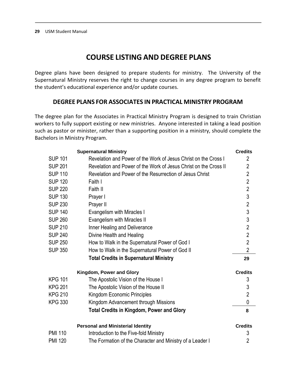## **COURSE LISTING AND DEGREE PLANS**

Degree plans have been designed to prepare students for ministry. The University of the Supernatural Ministry reserves the right to change courses in any degree program to benefit the student's educational experience and/or update courses.

#### **DEGREE PLANS FOR ASSOCIATES IN PRACTICAL MINISTRY PROGRAM**

The degree plan for the Associates in Practical Ministry Program is designed to train Christian workers to fully support existing or new ministries. Anyone interested in taking a lead position such as pastor or minister, rather than a supporting position in a ministry, should complete the Bachelors in Ministry Program.

|                | <b>Supernatural Ministry</b>                                     | <b>Credits</b> |
|----------------|------------------------------------------------------------------|----------------|
| <b>SUP 101</b> | Revelation and Power of the Work of Jesus Christ on the Cross I  | $\overline{2}$ |
| <b>SUP 201</b> | Revelation and Power of the Work of Jesus Christ on the Cross II | $\overline{2}$ |
| <b>SUP 110</b> | Revelation and Power of the Resurrection of Jesus Christ         | $\overline{2}$ |
| <b>SUP 120</b> | Faith I                                                          | $\overline{2}$ |
| <b>SUP 220</b> | Faith II                                                         | $\overline{2}$ |
| <b>SUP 130</b> | Prayer I                                                         | $\overline{3}$ |
| <b>SUP 230</b> | Prayer II                                                        | $\overline{2}$ |
| <b>SUP 140</b> | Evangelism with Miracles I                                       | $\overline{3}$ |
| <b>SUP 260</b> | Evangelism with Miracles II                                      | $\overline{3}$ |
| <b>SUP 210</b> | Inner Healing and Deliverance                                    | $\overline{2}$ |
| <b>SUP 240</b> | Divine Health and Healing                                        | $\overline{2}$ |
| <b>SUP 250</b> | How to Walk in the Supernatural Power of God I                   | $\overline{2}$ |
| <b>SUP 350</b> | How to Walk in the Supernatural Power of God II                  | $\overline{2}$ |
|                | <b>Total Credits in Supernatural Ministry</b>                    | 29             |
|                | Kingdom, Power and Glory                                         |                |
|                |                                                                  | <b>Credits</b> |
| <b>KPG 101</b> | The Apostolic Vision of the House I                              | 3              |
| <b>KPG 201</b> | The Apostolic Vision of the House II                             | $\sqrt{3}$     |
| <b>KPG 210</b> | Kingdom Economic Principles                                      | $\overline{2}$ |
| <b>KPG 330</b> | Kingdom Advancement through Missions                             | 0              |
|                | <b>Total Credits in Kingdom, Power and Glory</b>                 | 8              |
|                | <b>Personal and Ministerial Identity</b>                         | <b>Credits</b> |
| <b>PMI 110</b> | Introduction to the Five-fold Ministry                           | 3              |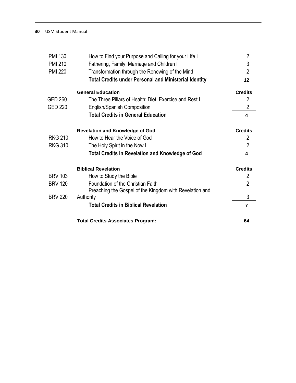| <b>PMI 130</b> | How to Find your Purpose and Calling for your Life I         | $\overline{2}$ |
|----------------|--------------------------------------------------------------|----------------|
| <b>PMI 210</b> | Fathering, Family, Marriage and Children I                   | 3              |
| <b>PMI 220</b> | Transformation through the Renewing of the Mind              | $\overline{2}$ |
|                | <b>Total Credits under Personal and Ministerial Identity</b> | 12             |
|                | <b>General Education</b>                                     | <b>Credits</b> |
| <b>GED 260</b> | The Three Pillars of Health: Diet, Exercise and Rest I       | $\overline{2}$ |
| <b>GED 220</b> | <b>English/Spanish Composition</b>                           | $\overline{2}$ |
|                | <b>Total Credits in General Education</b>                    | 4              |
|                | <b>Revelation and Knowledge of God</b>                       | <b>Credits</b> |
| <b>RKG 210</b> | How to Hear the Voice of God                                 | 2              |
| <b>RKG 310</b> | The Holy Spirit in the Now I                                 | $\overline{2}$ |
|                | <b>Total Credits in Revelation and Knowledge of God</b>      | 4              |
|                | <b>Biblical Revelation</b>                                   | <b>Credits</b> |
| <b>BRV 103</b> | How to Study the Bible                                       | $\overline{2}$ |
| <b>BRV 120</b> | Foundation of the Christian Faith                            | $\overline{2}$ |
|                | Preaching the Gospel of the Kingdom with Revelation and      |                |
| <b>BRV 220</b> | Authority                                                    | 3              |
|                | <b>Total Credits in Biblical Revelation</b>                  | $\overline{7}$ |
|                | <b>Total Credits Associates Program:</b>                     | 64             |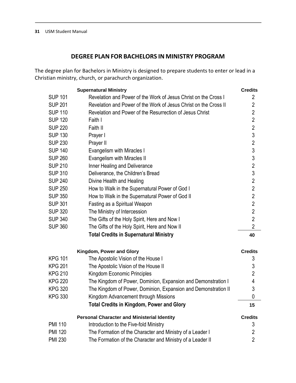## **DEGREE PLAN FOR BACHELORS IN MINISTRY PROGRAM**

The degree plan for Bachelors in Ministry is designed to prepare students to enter or lead in a Christian ministry, church, or parachurch organization.

|                | <b>Supernatural Ministry</b>                                     | <b>Credits</b> |
|----------------|------------------------------------------------------------------|----------------|
| <b>SUP 101</b> | Revelation and Power of the Work of Jesus Christ on the Cross I  | 2              |
| <b>SUP 201</b> | Revelation and Power of the Work of Jesus Christ on the Cross II | $\overline{2}$ |
| <b>SUP 110</b> | Revelation and Power of the Resurrection of Jesus Christ         | $\overline{2}$ |
| <b>SUP 120</b> | Faith I                                                          | $\overline{2}$ |
| <b>SUP 220</b> | Faith II                                                         | $\overline{2}$ |
| <b>SUP 130</b> | Prayer I                                                         | $\mathfrak{Z}$ |
| <b>SUP 230</b> | Prayer II                                                        | $\overline{2}$ |
| <b>SUP 140</b> | Evangelism with Miracles I                                       | 3              |
| <b>SUP 260</b> | Evangelism with Miracles II                                      | 3              |
| <b>SUP 210</b> | Inner Healing and Deliverance                                    | $\overline{2}$ |
| <b>SUP 310</b> | Deliverance, the Children's Bread                                | 3              |
| <b>SUP 240</b> | Divine Health and Healing                                        | $\overline{2}$ |
| <b>SUP 250</b> | How to Walk in the Supernatural Power of God I                   | $\overline{2}$ |
| <b>SUP 350</b> | How to Walk in the Supernatural Power of God II                  | $\overline{2}$ |
| <b>SUP 301</b> | Fasting as a Spiritual Weapon                                    | $\overline{2}$ |
| <b>SUP 320</b> | The Ministry of Intercession                                     | $\overline{2}$ |
| <b>SUP 340</b> | The Gifts of the Holy Spirit, Here and Now I                     | $\overline{2}$ |
| <b>SUP 360</b> | The Gifts of the Holy Spirit, Here and Now II                    | $\overline{2}$ |
|                | <b>Total Credits in Supernatural Ministry</b>                    | 40             |
|                | Kingdom, Power and Glory                                         | <b>Credits</b> |
| <b>KPG 101</b> | The Apostolic Vision of the House I                              | 3              |
| <b>KPG 201</b> | The Apostolic Vision of the House II                             | 3              |
| <b>KPG 210</b> | Kingdom Economic Principles                                      | $\overline{2}$ |
| <b>KPG 220</b> | The Kingdom of Power, Dominion, Expansion and Demonstration I    | 4              |
| <b>KPG 320</b> | The Kingdom of Power, Dominion, Expansion and Demonstration II   | 3              |
| <b>KPG 330</b> | Kingdom Advancement through Missions                             | 0              |
|                | <b>Total Credits in Kingdom, Power and Glory</b>                 | 15             |
|                | <b>Personal Character and Ministerial Identity</b>               | <b>Credits</b> |
| <b>PMI 110</b> | Introduction to the Five-fold Ministry                           | 3              |
| <b>PMI 120</b> | The Formation of the Character and Ministry of a Leader I        | $\overline{2}$ |
| <b>PMI 230</b> | The Formation of the Character and Ministry of a Leader II       | $\overline{2}$ |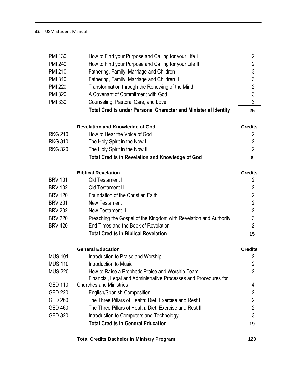| <b>PMI 130</b><br><b>PMI 240</b> | How to Find your Purpose and Calling for your Life I<br>How to Find your Purpose and Calling for your Life II | $\overline{2}$<br>$\overline{2}$ |
|----------------------------------|---------------------------------------------------------------------------------------------------------------|----------------------------------|
| <b>PMI 210</b>                   | Fathering, Family, Marriage and Children I                                                                    | 3                                |
| <b>PMI 310</b>                   | Fathering, Family, Marriage and Children II                                                                   | 3                                |
| <b>PMI 220</b>                   | Transformation through the Renewing of the Mind                                                               | $\overline{2}$<br>3              |
| <b>PMI 320</b>                   | A Covenant of Commitment with God                                                                             | 3                                |
| <b>PMI 330</b>                   | Counseling, Pastoral Care, and Love                                                                           |                                  |
|                                  | <b>Total Credits under Personal Character and Ministerial Identity</b>                                        | 25                               |
|                                  | <b>Revelation and Knowledge of God</b>                                                                        | <b>Credits</b>                   |
| <b>RKG 210</b>                   | How to Hear the Voice of God                                                                                  | $\overline{2}$                   |
| <b>RKG 310</b>                   | The Holy Spirit in the Now I                                                                                  | $\overline{2}$                   |
| <b>RKG 320</b>                   | The Holy Spirit in the Now II                                                                                 | $\overline{2}$                   |
|                                  | <b>Total Credits in Revelation and Knowledge of God</b>                                                       | 6                                |
|                                  | <b>Biblical Revelation</b>                                                                                    | <b>Credits</b>                   |
| <b>BRV 101</b>                   | Old Testament I                                                                                               | $\overline{2}$                   |
| <b>BRV 102</b>                   | Old Testament II                                                                                              | $\overline{2}$                   |
| <b>BRV 120</b>                   | Foundation of the Christian Faith                                                                             | $\overline{2}$                   |
| <b>BRV 201</b>                   | New Testament I                                                                                               | $\overline{2}$                   |
| <b>BRV 202</b>                   | New Testament II                                                                                              | $\overline{2}$                   |
| <b>BRV 220</b>                   | Preaching the Gospel of the Kingdom with Revelation and Authority                                             | 3                                |
| <b>BRV 420</b>                   | End Times and the Book of Revelation                                                                          | $\overline{2}$                   |
|                                  | <b>Total Credits in Biblical Revelation</b>                                                                   | 15                               |
|                                  | <b>General Education</b>                                                                                      | <b>Credits</b>                   |
| <b>MUS 101</b>                   | Introduction to Praise and Worship                                                                            | 2                                |
| <b>MUS 110</b>                   | Introduction to Music                                                                                         | $\overline{2}$                   |
| <b>MUS 220</b>                   | How to Raise a Prophetic Praise and Worship Team                                                              | $\overline{2}$                   |
|                                  | Financial, Legal and Administrative Processes and Procedures for                                              |                                  |
| <b>GED 110</b>                   | <b>Churches and Ministries</b>                                                                                | 4                                |
| <b>GED 220</b>                   | <b>English/Spanish Composition</b>                                                                            | $\overline{2}$                   |
| <b>GED 260</b>                   | The Three Pillars of Health: Diet, Exercise and Rest I                                                        | $\overline{2}$                   |
| <b>GED 460</b>                   | The Three Pillars of Health: Diet, Exercise and Rest II                                                       | $\overline{2}$                   |
| <b>GED 320</b>                   | Introduction to Computers and Technology                                                                      | 3                                |
|                                  | <b>Total Credits in General Education</b>                                                                     | 19                               |
|                                  |                                                                                                               |                                  |

**Total Credits Bachelor in Ministry Program: 120**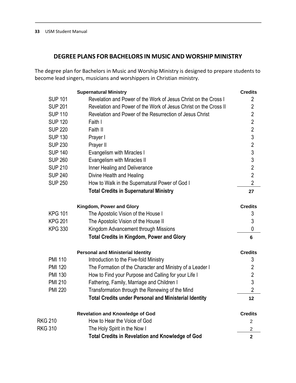## **DEGREE PLANS FOR BACHELORS IN MUSIC AND WORSHIP MINISTRY**

The degree plan for Bachelors in Music and Worship Ministry is designed to prepare students to become lead singers, musicians and worshippers in Christian ministry.

|                | <b>Supernatural Ministry</b>                                     | <b>Credits</b> |
|----------------|------------------------------------------------------------------|----------------|
| <b>SUP 101</b> | Revelation and Power of the Work of Jesus Christ on the Cross I  | $\overline{2}$ |
| <b>SUP 201</b> | Revelation and Power of the Work of Jesus Christ on the Cross II | $\overline{2}$ |
| <b>SUP 110</b> | Revelation and Power of the Resurrection of Jesus Christ         | $\overline{2}$ |
| <b>SUP 120</b> | Faith I                                                          | $\overline{2}$ |
| <b>SUP 220</b> | Faith II                                                         | $\overline{2}$ |
| <b>SUP 130</b> | Prayer I                                                         | $\overline{3}$ |
| <b>SUP 230</b> | Prayer II                                                        | $\overline{2}$ |
| <b>SUP 140</b> | Evangelism with Miracles I                                       | 3              |
| <b>SUP 260</b> | Evangelism with Miracles II                                      | 3              |
| <b>SUP 210</b> | Inner Healing and Deliverance                                    | $\overline{2}$ |
| <b>SUP 240</b> | Divine Health and Healing                                        | $\overline{2}$ |
| <b>SUP 250</b> | How to Walk in the Supernatural Power of God I                   | $\overline{2}$ |
|                | <b>Total Credits in Supernatural Ministry</b>                    | 27             |
|                | Kingdom, Power and Glory                                         | <b>Credits</b> |
| <b>KPG 101</b> | The Apostolic Vision of the House I                              | 3              |
| <b>KPG 201</b> | The Apostolic Vision of the House II                             | 3              |
| <b>KPG 330</b> | Kingdom Advancement through Missions                             | $\mathbf 0$    |
|                | <b>Total Credits in Kingdom, Power and Glory</b>                 | 6              |
|                | <b>Personal and Ministerial Identity</b>                         | <b>Credits</b> |
| <b>PMI 110</b> | Introduction to the Five-fold Ministry                           | 3              |
| <b>PMI 120</b> | The Formation of the Character and Ministry of a Leader I        | $\overline{2}$ |
| <b>PMI 130</b> | How to Find your Purpose and Calling for your Life I             | $\overline{c}$ |
| <b>PMI 210</b> | Fathering, Family, Marriage and Children I                       | $\overline{3}$ |
| <b>PMI 220</b> | Transformation through the Renewing of the Mind                  | $\overline{2}$ |
|                | <b>Total Credits under Personal and Ministerial Identity</b>     | 12             |
|                | <b>Revelation and Knowledge of God</b>                           | <b>Credits</b> |
| RKG 210        | How to Hear the Voice of God                                     | $\overline{2}$ |
| <b>RKG 310</b> | The Holy Spirit in the Now I                                     | $\overline{2}$ |
|                | <b>Total Credits in Revelation and Knowledge of God</b>          | $\overline{2}$ |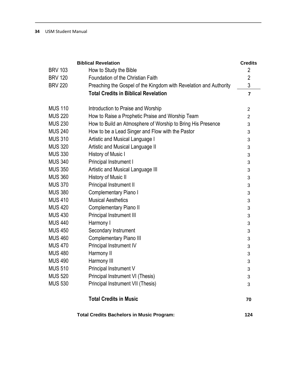|                | <b>Biblical Revelation</b>                                        | <b>Credits</b> |
|----------------|-------------------------------------------------------------------|----------------|
| <b>BRV 103</b> | How to Study the Bible                                            | $\overline{2}$ |
| <b>BRV 120</b> | Foundation of the Christian Faith                                 | $\overline{2}$ |
| <b>BRV 220</b> | Preaching the Gospel of the Kingdom with Revelation and Authority | $\mathfrak{Z}$ |
|                | <b>Total Credits in Biblical Revelation</b>                       | $\overline{7}$ |
|                |                                                                   |                |
| <b>MUS 110</b> | Introduction to Praise and Worship                                | $\overline{c}$ |
| <b>MUS 220</b> | How to Raise a Prophetic Praise and Worship Team                  | $\overline{2}$ |
| <b>MUS 230</b> | How to Build an Atmosphere of Worship to Bring His Presence       | 3              |
| <b>MUS 240</b> | How to be a Lead Singer and Flow with the Pastor                  | 3              |
| <b>MUS 310</b> | Artistic and Musical Language I                                   | 3              |
| <b>MUS 320</b> | Artistic and Musical Language II                                  | 3              |
| <b>MUS 330</b> | History of Music I                                                | 3              |
| <b>MUS 340</b> | Principal Instrument I                                            | 3              |
| <b>MUS 350</b> | Artistic and Musical Language III                                 | 3              |
| <b>MUS 360</b> | History of Music II                                               | 3              |
| <b>MUS 370</b> | Principal Instrument II                                           | 3              |
| <b>MUS 380</b> | <b>Complementary Piano I</b>                                      | 3              |
| <b>MUS 410</b> | <b>Musical Aesthetics</b>                                         | 3              |
| <b>MUS 420</b> | Complementary Piano II                                            | 3              |
| <b>MUS 430</b> | Principal Instrument III                                          | 3              |
| <b>MUS 440</b> | Harmony I                                                         | 3              |
| <b>MUS 450</b> | Secondary Instrument                                              | 3              |
| <b>MUS 460</b> | <b>Complementary Piano III</b>                                    | 3              |
| <b>MUS 470</b> | Principal Instrument IV                                           | 3              |
| <b>MUS 480</b> | Harmony II                                                        | 3              |
| <b>MUS 490</b> | Harmony III                                                       | 3              |
| <b>MUS 510</b> | Principal Instrument V                                            | 3              |
| <b>MUS 520</b> | Principal Instrument VI (Thesis)                                  | 3              |
| <b>MUS 530</b> | Principal Instrument VII (Thesis)                                 | 3              |
|                | <b>Total Credits in Music</b>                                     | 70             |

**Total Credits Bachelors in Music Program: 124**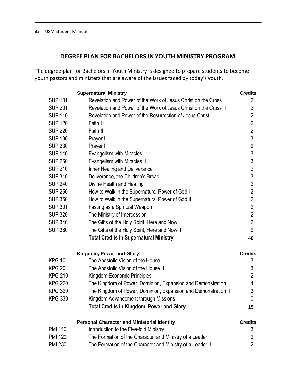## **DEGREE PLAN FOR BACHELORS IN YOUTH MINISTRY PROGRAM**

The degree plan for Bachelors in Youth Ministry is designed to prepare students to become youth pastors and ministers that are aware of the issues faced by today's youth.

|                | <b>Supernatural Ministry</b>                                     | <b>Credits</b> |
|----------------|------------------------------------------------------------------|----------------|
| <b>SUP 101</b> | Revelation and Power of the Work of Jesus Christ on the Cross I  | 2              |
| <b>SUP 201</b> | Revelation and Power of the Work of Jesus Christ on the Cross II | 2              |
| <b>SUP 110</b> | Revelation and Power of the Resurrection of Jesus Christ         | $\overline{2}$ |
| <b>SUP 120</b> | Faith I                                                          | $\overline{2}$ |
| <b>SUP 220</b> | Faith II                                                         | $\overline{2}$ |
| <b>SUP 130</b> | Prayer I                                                         | 3              |
| <b>SUP 230</b> | Prayer II                                                        | $\overline{2}$ |
| <b>SUP 140</b> | Evangelism with Miracles I                                       | $\mathfrak{S}$ |
| <b>SUP 260</b> | Evangelism with Miracles II                                      | 3              |
| <b>SUP 210</b> | Inner Healing and Deliverance                                    | $\overline{2}$ |
| <b>SUP 310</b> | Deliverance, the Children's Bread                                | 3              |
| <b>SUP 240</b> | Divine Health and Healing                                        | $\overline{2}$ |
| <b>SUP 250</b> | How to Walk in the Supernatural Power of God I                   | $\overline{2}$ |
| <b>SUP 350</b> | How to Walk in the Supernatural Power of God II                  | $\overline{2}$ |
| <b>SUP 301</b> | Fasting as a Spiritual Weapon                                    | $\overline{2}$ |
| <b>SUP 320</b> | The Ministry of Intercession                                     | $\overline{2}$ |
| <b>SUP 340</b> | The Gifts of the Holy Spirit, Here and Now I                     | $\overline{2}$ |
| <b>SUP 360</b> | The Gifts of the Holy Spirit, Here and Now II                    | $\overline{2}$ |
|                | <b>Total Credits in Supernatural Ministry</b>                    | 40             |
|                | Kingdom, Power and Glory                                         | <b>Credits</b> |
| <b>KPG 101</b> | The Apostolic Vision of the House I                              | 3              |
| <b>KPG 201</b> | The Apostolic Vision of the House II                             | 3              |
| <b>KPG 210</b> | Kingdom Economic Principles                                      | $\overline{2}$ |
| <b>KPG 220</b> | The Kingdom of Power, Dominion, Expansion and Demonstration I    | 4              |
| <b>KPG 320</b> | The Kingdom of Power, Dominion, Expansion and Demonstration II   | 3              |
| <b>KPG 330</b> | Kingdom Advancement through Missions                             | 0              |
|                | <b>Total Credits in Kingdom, Power and Glory</b>                 | 15             |
|                | <b>Personal Character and Ministerial Identity</b>               | <b>Credits</b> |
| <b>PMI 110</b> | Introduction to the Five-fold Ministry                           | 3              |
| <b>PMI 120</b> | The Formation of the Character and Ministry of a Leader I        | 2              |
| <b>PMI 230</b> | The Formation of the Character and Ministry of a Leader II       | $\overline{2}$ |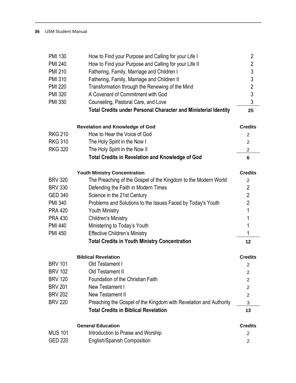| <b>PMI 130</b> | How to Find your Purpose and Calling for your Life I                   | $\overline{2}$ |
|----------------|------------------------------------------------------------------------|----------------|
| <b>PMI 240</b> | How to Find your Purpose and Calling for your Life II                  | $\overline{2}$ |
| <b>PMI 210</b> | Fathering, Family, Marriage and Children I                             | 3              |
| <b>PMI 310</b> | Fathering, Family, Marriage and Children II                            | $\sqrt{3}$     |
| <b>PMI 220</b> | Transformation through the Renewing of the Mind                        | $\overline{2}$ |
| <b>PMI 320</b> | A Covenant of Commitment with God                                      | 3              |
| <b>PMI 330</b> | Counseling, Pastoral Care, and Love                                    | 3              |
|                | <b>Total Credits under Personal Character and Ministerial Identity</b> | 25             |
|                | <b>Revelation and Knowledge of God</b>                                 | <b>Credits</b> |
| <b>RKG 210</b> | How to Hear the Voice of God                                           | $\overline{2}$ |
| <b>RKG 310</b> | The Holy Spirit in the Now I                                           | 2              |
| <b>RKG 320</b> | The Holy Spirit in the Now II                                          | 2              |
|                | <b>Total Credits in Revelation and Knowledge of God</b>                | 6              |
|                | <b>Youth Ministry Concentration</b>                                    | <b>Credits</b> |
| <b>BRV 320</b> | The Preaching of the Gospel of the Kingdom to the Modern World         | 2              |
| <b>BRV 330</b> | Defending the Faith in Modern Times                                    | $\overline{2}$ |
| <b>GED 340</b> | Science in the 21st Century                                            | $\overline{2}$ |
| <b>PMI 340</b> | Problems and Solutions to the Issues Faced by Today's Youth            | $\overline{2}$ |
| <b>PRA 420</b> | <b>Youth Ministry</b>                                                  | 1              |
| <b>PRA 430</b> | <b>Children's Ministry</b>                                             | 1              |
| <b>PMI 440</b> | Ministering to Today's Youth                                           | 1              |
| <b>PMI 450</b> | <b>Effective Children's Ministry</b>                                   | 1              |
|                | <b>Total Credits in Youth Ministry Concentration</b>                   | 12             |
|                | <b>Biblical Revelation</b>                                             | <b>Credits</b> |
| <b>BRV 101</b> | Old Testament I                                                        | 2              |
| <b>BRV 102</b> | Old Testament II                                                       | 2              |
| <b>BRV 120</b> | Foundation of the Christian Faith                                      | $\overline{2}$ |
| <b>BRV 201</b> | New Testament I                                                        | 2              |
| <b>BRV 202</b> | New Testament II                                                       | 2              |
| <b>BRV 220</b> | Preaching the Gospel of the Kingdom with Revelation and Authority      | 3              |
|                | <b>Total Credits in Biblical Revelation</b>                            | 13             |
|                | <b>General Education</b>                                               | <b>Credits</b> |
| <b>MUS 101</b> | Introduction to Praise and Worship                                     | 2              |
| <b>GED 220</b> | <b>English/Spanish Composition</b>                                     | 2              |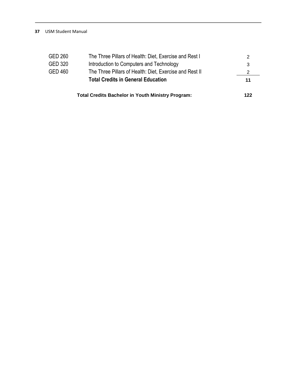|         | <b>Total Credits Bachelor in Youth Ministry Program:</b> | 122 |
|---------|----------------------------------------------------------|-----|
|         | <b>Total Credits in General Education</b>                | 11  |
| GED 460 | The Three Pillars of Health: Diet, Exercise and Rest II  | 2   |
| GED 320 | Introduction to Computers and Technology                 | 3   |
| GED 260 | The Three Pillars of Health: Diet, Exercise and Rest I   | 2   |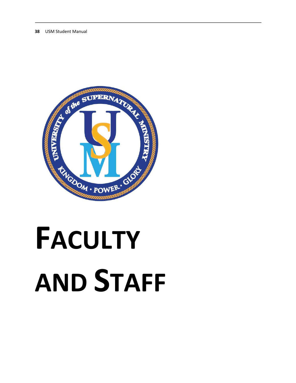

# **FACULTY AND STAFF**